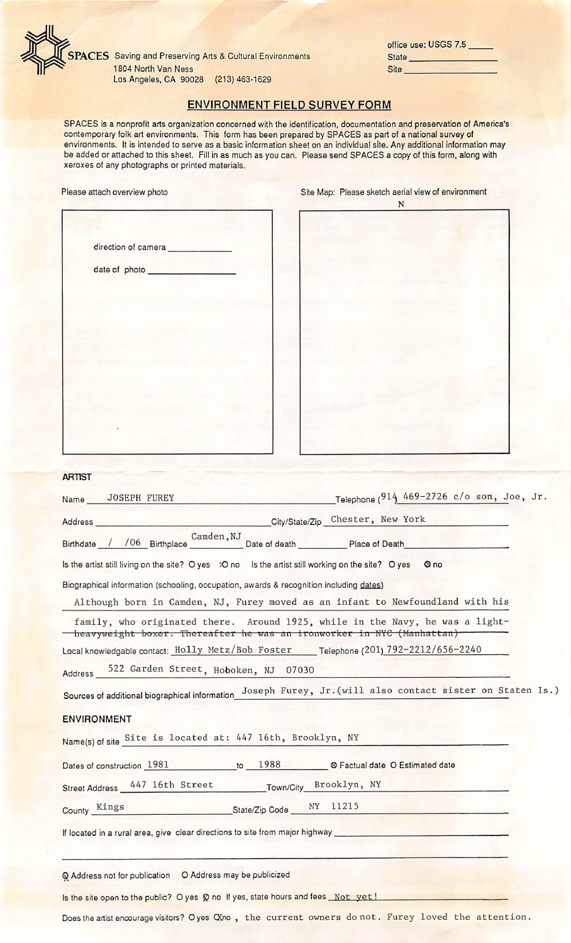

**SPACES** Saving and Preserving Arts & Cultural Environments 1804 North Van Ness Los Angeles, CA 90028 (213) 463-1629

|              | office use: USGS 7.5 |
|--------------|----------------------|
| <b>State</b> |                      |
| <b>Site</b>  |                      |

## ENVIRONMENT FIELD SURVEY FORM

SPACES is a nonprofit arts organization concerned with the identification, documentation and preservation of America's contemporary folk art environments. This form has been prepared by SPACES as part of a national survey of environments. It is intended to serve as a basic information sheet on an individual site. Any additional information may be added or attached to this sheet. Fill in as much as you can. Please send SPACES a copy of this form, along with xeroxes of any photographs or printed materials.

| Please attach overview photo | Site Map: Please sketch aerial view of environment<br>${\bf N}$ |  |  |
|------------------------------|-----------------------------------------------------------------|--|--|
| direction of camera          |                                                                 |  |  |
| date of photo                |                                                                 |  |  |
|                              |                                                                 |  |  |
|                              |                                                                 |  |  |
|                              |                                                                 |  |  |
|                              |                                                                 |  |  |
|                              |                                                                 |  |  |
|                              |                                                                 |  |  |
|                              |                                                                 |  |  |
|                              |                                                                 |  |  |

| <b>ARTIST</b> |  |  |
|---------------|--|--|
|               |  |  |

| Name JOSEPH FUREY                                                                                             | Telephone $(914, 469 - 2726, c/o)$ son, Joe, Jr.                                                                                                       |
|---------------------------------------------------------------------------------------------------------------|--------------------------------------------------------------------------------------------------------------------------------------------------------|
| Address City/State/Zip Chester, New York                                                                      |                                                                                                                                                        |
|                                                                                                               | Birthdate / / 06 Birthplace Camden, NJ Date of death Place of Death                                                                                    |
| Is the artist still living on the site? O yes $\infty$ no Is the artist still working on the site? O yes @ no |                                                                                                                                                        |
| Biographical information (schooling, occupation, awards & recognition including dates)                        |                                                                                                                                                        |
|                                                                                                               | Although born in Camden, NJ, Furey moved as an infant to Newfoundland with his                                                                         |
|                                                                                                               | family, who originated there. Around 1925, while in the Navy, he was a light-<br>heavyweight boxer. Thereafter he was an ironworker in NYC (Manhattan) |
|                                                                                                               | Local knowledgable contact: Holly Metz/Bob Foster Telephone (201) 792-2212/656-2240                                                                    |
| Address 522 Garden Street, Hoboken, NJ 07030                                                                  |                                                                                                                                                        |
|                                                                                                               | Sources of additional biographical information Joseph Furey, Jr. (will also contact sister on Staten Is.)                                              |
| <b>ENVIRONMENT</b>                                                                                            |                                                                                                                                                        |
| Name(s) of site Site is located at: 447 16th, Brooklyn, NY                                                    |                                                                                                                                                        |
| Dates of construction 1981 to 1988 Cactual date O Estimated date                                              |                                                                                                                                                        |
| Street Address 447 16th Street Town/City Brooklyn, NY                                                         |                                                                                                                                                        |
| County Kings State/Zip Code NY 11215                                                                          |                                                                                                                                                        |
|                                                                                                               | If located in a rural area, give clear directions to site from major highway                                                                           |
| Q Address not for publication O Address may be publicized                                                     |                                                                                                                                                        |
| Is the site open to the public? O yes Q no If yes, state hours and fees Not yet!                              |                                                                                                                                                        |

Does the artist encourage visitors? O yes OXno, the current owners do not. Furey loved the attention.